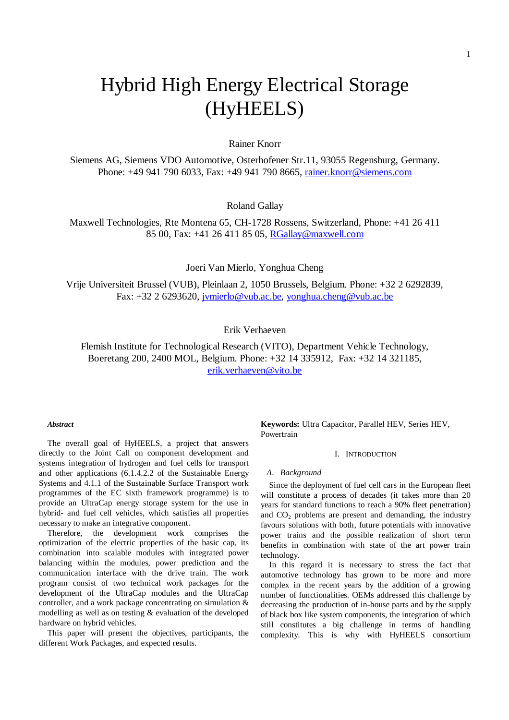# Hybrid High Energy Electrical Storage (HyHEELS)

## Rainer Knorr

Siemens AG, Siemens VDO Automotive, Osterhofener Str.11, 93055 Regensburg, Germany. Phone: +49 941 790 6033, Fax: +49 941 790 8665, rainer.knorr@siemens.com

Roland Gallay

Maxwell Technologies, Rte Montena 65, CH-1728 Rossens, Switzerland, Phone: +41 26 411 85 00, Fax: +41 26 411 85 05, RGallay@maxwell.com

Joeri Van Mierlo, Yonghua Cheng

Vrije Universiteit Brussel (VUB), Pleinlaan 2, 1050 Brussels, Belgium. Phone: +32 2 6292839, Fax: +32 2 6293620, jvmierlo@vub.ac.be, yonghua.cheng@vub.ac.be

## Erik Verhaeven

Flemish Institute for Technological Research (VITO), Department Vehicle Technology, Boeretang 200, 2400 MOL, Belgium. Phone: +32 14 335912, Fax: +32 14 321185, erik.verhaeven@vito.be

#### *Abstract*

The overall goal of HyHEELS, a project that answers directly to the Joint Call on component development and systems integration of hydrogen and fuel cells for transport and other applications (6.1.4.2.2 of the Sustainable Energy Systems and 4.1.1 of the Sustainable Surface Transport work programmes of the EC sixth framework programme) is to provide an UltraCap energy storage system for the use in hybrid- and fuel cell vehicles, which satisfies all properties necessary to make an integrative component.

 Therefore, the development work comprises the optimization of the electric properties of the basic cap, its combination into scalable modules with integrated power balancing within the modules, power prediction and the communication interface with the drive train. The work program consist of two technical work packages for the development of the UltraCap modules and the UltraCap controller, and a work package concentrating on simulation & modelling as well as on testing & evaluation of the developed hardware on hybrid vehicles.

 This paper will present the objectives, participants, the different Work Packages, and expected results.

**Keywords:** Ultra Capacitor, Parallel HEV, Series HEV, Powertrain

### I. INTRODUCTION

#### *A. Background*

 Since the deployment of fuel cell cars in the European fleet will constitute a process of decades (it takes more than 20 years for standard functions to reach a 90% fleet penetration) and  $CO<sub>2</sub>$  problems are present and demanding, the industry favours solutions with both, future potentials with innovative power trains and the possible realization of short term benefits in combination with state of the art power train technology.

 In this regard it is necessary to stress the fact that automotive technology has grown to be more and more complex in the recent years by the addition of a growing number of functionalities. OEMs addressed this challenge by decreasing the production of in-house parts and by the supply of black box like system components, the integration of which still constitutes a big challenge in terms of handling complexity. This is why with HyHEELS consortium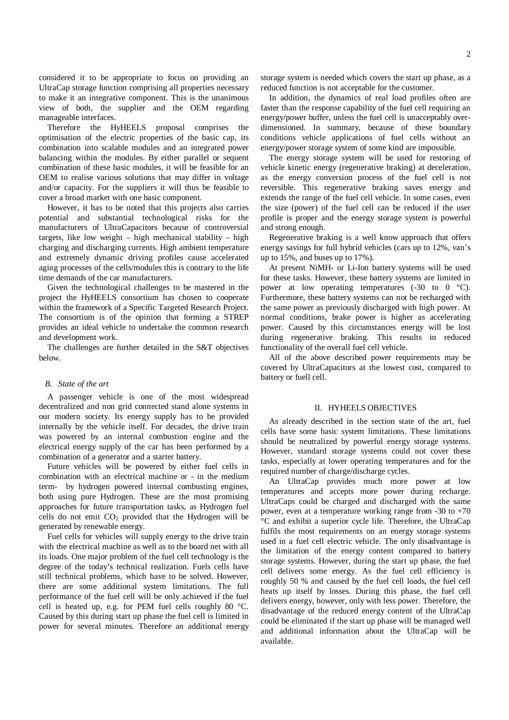considered it to be appropriate to focus on providing an UltraCap storage function comprising all properties necessary to make it an integrative component. This is the unanimous view of both, the supplier and the OEM regarding manageable interfaces.

 Therefore the HyHEELS proposal comprises the optimisation of the electric properties of the basic cap, its combination into scalable modules and an integrated power balancing within the modules. By either parallel or sequent combination of these basic modules, it will be feasible for an OEM to realise various solutions that may differ in voltage and/or capacity. For the suppliers it will thus be feasible to cover a broad market with one basic component.

 However, it has to be noted that this projects also carries potential and substantial technological risks for the manufacturers of UltraCapacitors because of controversial targets, like low weight – high mechanical stability – high charging and discharging currents. High ambient temperature and extremely dynamic driving profiles cause accelerated aging processes of the cells/modules this is contrary to the life time demands of the car manufacturers.

 Given the technological challenges to be mastered in the project the HyHEELS consortium has chosen to cooperate within the framework of a Specific Targeted Research Project. The consortium is of the opinion that forming a STREP provides an ideal vehicle to undertake the common research and development work.

The challenges are further detailed in the S&T objectives below.

#### *B. State of the art*

A passenger vehicle is one of the most widespread decentralized and non grid connected stand alone systems in our modern society. Its energy supply has to be provided internally by the vehicle itself. For decades, the drive train was powered by an internal combustion engine and the electrical energy supply of the car has been performed by a combination of a generator and a starter battery.

 Future vehicles will be powered by either fuel cells in combination with an electrical machine or - in the medium term- by hydrogen powered internal combusting engines, both using pure Hydrogen. These are the most promising approaches for future transportation tasks, as Hydrogen fuel cells do not emit  $CO<sub>2</sub>$  provided that the Hydrogen will be generated by renewable energy.

 Fuel cells for vehicles will supply energy to the drive train with the electrical machine as well as to the board net with all its loads. One major problem of the fuel cell technology is the degree of the today's technical realization. Fuels cells have still technical problems, which have to be solved. However, there are some additional system limitations. The full performance of the fuel cell will be only achieved if the fuel cell is heated up, e.g. for PEM fuel cells roughly 80 °C. Caused by this during start up phase the fuel cell is limited in power for several minutes. Therefore an additional energy

storage system is needed which covers the start up phase, as a reduced function is not acceptable for the customer.

 In addition, the dynamics of real load profiles often are faster than the response capability of the fuel cell requiring an energy/power buffer, unless the fuel cell is unacceptably overdimensioned. In summary, because of these boundary conditions vehicle applications of fuel cells without an energy/power storage system of some kind are impossible.

 The energy storage system will be used for restoring of vehicle kinetic energy (regenerative braking) at deceleration, as the energy conversion process of the fuel cell is not reversible. This regenerative braking saves energy and extends the range of the fuel cell vehicle. In some cases, even the size (power) of the fuel cell can be reduced if the user profile is proper and the energy storage system is powerful and strong enough.

 Regenerative braking is a well know approach that offers energy savings for full hybrid vehicles (cars up to 12%, van's up to 15%, and buses up to 17%).

 At present NiMH- or Li-Ion battery systems will be used for these tasks. However, these battery systems are limited in power at low operating temperatures  $(-30 \text{ to } 0 \text{ °C})$ . Furthermore, these battery systems can not be recharged with the same power as previously discharged with high power. At normal conditions, brake power is higher as accelerating power. Caused by this circumstances energy will be lost during regenerative braking. This results in reduced functionality of the overall fuel cell vehicle.

 All of the above described power requirements may be covered by UltraCapacitors at the lowest cost, compared to battery or fuell cell.

#### II. HYHEELS OBJECTIVES

 As already described in the section state of the art, fuel cells have some basic system limitations. These limitations should be neutralized by powerful energy storage systems. However, standard storage systems could not cover these tasks, especially at lower operating temperatures and for the required number of charge/discharge cycles.

 An UltraCap provides much more power at low temperatures and accepts more power during recharge. UltraCaps could be charged and discharged with the same power, even at a temperature working range from  $-30$  to  $+70$ °C and exhibit a superior cycle life. Therefore, the UltraCap fulfils the most requirements on an energy storage systems used in a fuel cell electric vehicle. The only disadvantage is the limitation of the energy content compared to battery storage systems. However, during the start up phase, the fuel cell delivers some energy. As the fuel cell efficiency is roughly 50 % and caused by the fuel cell loads, the fuel cell heats up itself by losses. During this phase, the fuel cell delivers energy, however, only with less power. Therefore, the disadvantage of the reduced energy content of the UltraCap could be eliminated if the start up phase will be managed well and additional information about the UltraCap will be available.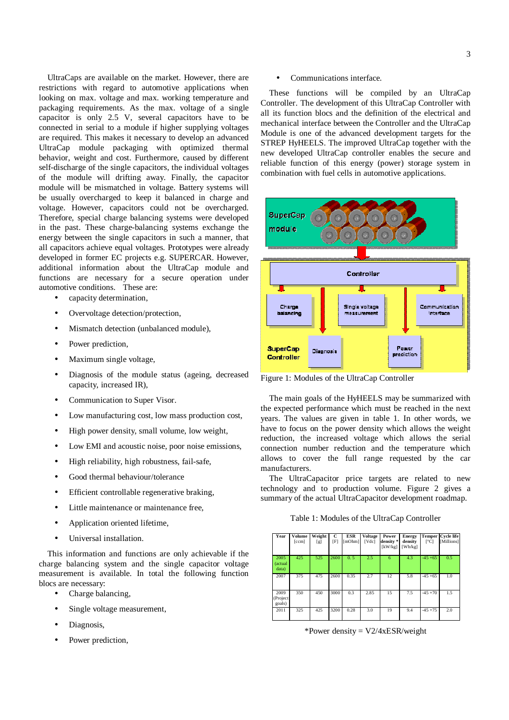UltraCaps are available on the market. However, there are restrictions with regard to automotive applications when looking on max. voltage and max. working temperature and packaging requirements. As the max. voltage of a single capacitor is only 2.5 V, several capacitors have to be connected in serial to a module if higher supplying voltages are required. This makes it necessary to develop an advanced UltraCap module packaging with optimized thermal behavior, weight and cost. Furthermore, caused by different self-discharge of the single capacitors, the individual voltages of the module will drifting away. Finally, the capacitor module will be mismatched in voltage. Battery systems will be usually overcharged to keep it balanced in charge and voltage. However, capacitors could not be overcharged. Therefore, special charge balancing systems were developed in the past. These charge-balancing systems exchange the energy between the single capacitors in such a manner, that all capacitors achieve equal voltages. Prototypes were already developed in former EC projects e.g. SUPERCAR. However, additional information about the UltraCap module and functions are necessary for a secure operation under automotive conditions. These are:

- capacity determination,
- Overvoltage detection/protection,
- Mismatch detection (unbalanced module),
- Power prediction,
- Maximum single voltage,
- Diagnosis of the module status (ageing, decreased capacity, increased IR),
- Communication to Super Visor.
- Low manufacturing cost, low mass production cost,
- High power density, small volume, low weight,
- Low EMI and acoustic noise, poor noise emissions,
- High reliability, high robustness, fail-safe,
- Good thermal behaviour/tolerance
- Efficient controllable regenerative braking,
- Little maintenance or maintenance free,
- Application oriented lifetime,
- Universal installation.

 This information and functions are only achievable if the charge balancing system and the single capacitor voltage measurement is available. In total the following function blocs are necessary:

- Charge balancing,
- Single voltage measurement,
- Diagnosis,
- Power prediction,

#### Communications interface.

These functions will be compiled by an UltraCap Controller. The development of this UltraCap Controller with all its function blocs and the definition of the electrical and mechanical interface between the Controller and the UltraCap Module is one of the advanced development targets for the STREP HyHEELS. The improved UltraCap together with the new developed UltraCap controller enables the secure and reliable function of this energy (power) storage system in combination with fuel cells in automotive applications.



Figure 1: Modules of the UltraCap Controller

 The main goals of the HyHEELS may be summarized with the expected performance which must be reached in the next years. The values are given in table 1. In other words, we have to focus on the power density which allows the weight reduction, the increased voltage which allows the serial connection number reduction and the temperature which allows to cover the full range requested by the car manufacturers.

 The UltraCapacitor price targets are related to new technology and to production volume. Figure 2 gives a summary of the actual UltraCapacitor development roadmap.

Table 1: Modules of the UltraCap Controller

| Year                       | Volume<br>[ccm] | Weight<br>[g] | C<br>$[\mathrm{F}]$ | <b>ESR</b><br>[mOhm] | <b>Voltage</b><br>[Vdc] | Power<br>density *<br>[kW/kg] | <b>Energy</b><br>density<br>[Wh/kg] | <b>Temper</b><br>$\lceil$ <sup>o</sup> Cl | <b>Cycle life</b><br>[Millions] |
|----------------------------|-----------------|---------------|---------------------|----------------------|-------------------------|-------------------------------|-------------------------------------|-------------------------------------------|---------------------------------|
| 2005<br>(actual<br>data)   | 425             | 525           | 2600                | 0.5                  | 2.5                     | 6                             | 4.3                                 | $-45 + 65$                                | 0.5                             |
| 2007                       | 375             | 475           | 2600                | 0.35                 | 2.7                     | 12                            | 5.8                                 | $-45 + 65$                                | 1.0                             |
| 2009<br>(Project<br>goals) | 350             | 450           | 3000                | 0.3                  | 2.85                    | 15                            | 7.5                                 | $-45 + 70$                                | 1.5                             |
| 2011                       | 325             | 425           | 3200                | 0.28                 | 3.0                     | 19                            | 9.4                                 | $-45 + 75$                                | 2.0                             |

\*Power density =  $V2/4xESR/weight$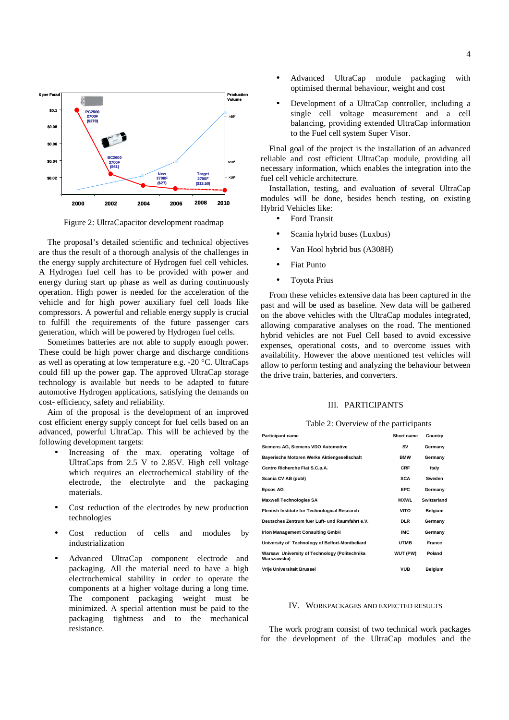

Figure 2: UltraCapacitor development roadmap

 The proposal's detailed scientific and technical objectives are thus the result of a thorough analysis of the challenges in the energy supply architecture of Hydrogen fuel cell vehicles. A Hydrogen fuel cell has to be provided with power and energy during start up phase as well as during continuously operation. High power is needed for the acceleration of the vehicle and for high power auxiliary fuel cell loads like compressors. A powerful and reliable energy supply is crucial to fulfill the requirements of the future passenger cars generation, which will be powered by Hydrogen fuel cells.

 Sometimes batteries are not able to supply enough power. These could be high power charge and discharge conditions as well as operating at low temperature e.g. -20 °C. UltraCaps could fill up the power gap. The approved UltraCap storage technology is available but needs to be adapted to future automotive Hydrogen applications, satisfying the demands on cost- efficiency, safety and reliability.

 Aim of the proposal is the development of an improved cost efficient energy supply concept for fuel cells based on an advanced, powerful UltraCap. This will be achieved by the following development targets:

- Increasing of the max. operating voltage of UltraCaps from 2.5 V to 2.85V. High cell voltage which requires an electrochemical stability of the electrode, the electrolyte and the packaging materials.
- Cost reduction of the electrodes by new production technologies
- Cost reduction of cells and modules by industrialization
- Advanced UltraCap component electrode and packaging. All the material need to have a high electrochemical stability in order to operate the components at a higher voltage during a long time. The component packaging weight must be minimized. A special attention must be paid to the packaging tightness and to the mechanical resistance.
- Advanced UltraCap module packaging with optimised thermal behaviour, weight and cost
- Development of a UltraCap controller, including a single cell voltage measurement and a cell balancing, providing extended UltraCap information to the Fuel cell system Super Visor.

 Final goal of the project is the installation of an advanced reliable and cost efficient UltraCap module, providing all necessary information, which enables the integration into the fuel cell vehicle architecture.

 Installation, testing, and evaluation of several UltraCap modules will be done, besides bench testing, on existing Hybrid Vehicles like:

- Ford Transit
- Scania hybrid buses (Luxbus)
- Van Hool hybrid bus (A308H)
- **Fiat Punto**
- Toyota Prius

 From these vehicles extensive data has been captured in the past and will be used as baseline. New data will be gathered on the above vehicles with the UltraCap modules integrated, allowing comparative analyses on the road. The mentioned hybrid vehicles are not Fuel Cell based to avoid excessive expenses, operational costs, and to overcome issues with availability. However the above mentioned test vehicles will allow to perform testing and analyzing the behaviour between the drive train, batteries, and converters.

#### III. PARTICIPANTS

Table 2: Overview of the participants

| Participant name                                             | Short name  | Country        |
|--------------------------------------------------------------|-------------|----------------|
| Siemens AG, Siemens VDO Automotive                           | SV          | Germany        |
| Bayerische Motoren Werke Aktiengesellschaft                  | <b>BMW</b>  | Germany        |
| Centro Richerche Fiat S.C.p.A.                               | <b>CRF</b>  | Italy          |
| Scania CV AB (publ)                                          | <b>SCA</b>  | Sweden         |
| Epcos AG                                                     | <b>EPC</b>  | Germany        |
| Maxwell Technologies SA                                      | <b>MXWL</b> | Switzerland    |
| Flemish Institute for Technological Research                 | VITO        | Belgium        |
| Deutsches Zentrum fuer Luft- und Raumfahrt e.V.              | <b>DLR</b>  | Germany        |
| Irion Management Consulting GmbH                             | <b>IMC</b>  | Germany        |
| University of Technology of Belfort-Montbeliard              | <b>UTMB</b> | France         |
| Warsaw University of Technology (Politechnika<br>Warszawska) | WUT (PW)    | Poland         |
| Vrije Universiteit Brussel                                   | <b>VUB</b>  | <b>Belgium</b> |

#### IV. WORKPACKAGES AND EXPECTED RESULTS

 The work program consist of two technical work packages for the development of the UltraCap modules and the